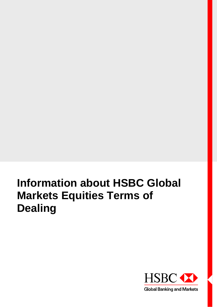# **Information about HSBC Global Markets Equities Terms of Dealing**

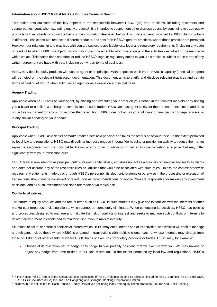### **Information about HSBC Global Markets Equities Terms of Dealing**

This notice sets out some of the key aspects of the relationship between  $HSEC<sup>1</sup>$  (us) and its clients, including customers and counterparties (you), when executing equity products<sup>2</sup>. It is intended to supplement other disclosures and by continuing to trade equity products with us, clients do so on the basis of the information described below. This notice is being provided to HSBC clients globally in different jurisdictions with respect to different products, and sets forth HSBC's general practices, where those practices are permitted. However, our relationship and practices with you are subject to applicable local legal and regulatory requirements (including any code of conduct to which HSBC is subject), which may impact the extent to which we engage in the activities described or the manner in which we act. This notice does not affect or reduce HSBC's legal or regulatory duties to you. This notice is subject to the terms of any written agreement we have with you, including our written terms of business.

HSBC may deal in equity products with you as agent or as principal. With respect to each trade, HSBC's capacity (principal or agent) will be noted on the relevant transaction documentation. This document aims to clarify and disclose relevant practices and certain terms of dealing of HSBC when acting as an agent or as a dealer on a principal basis.

#### **Agency Trading**

Applicable when HSBC acts as your agent, by placing and executing your order on your behalf in the relevant markets or by finding you a buyer or a seller. We charge a commission on such trades. HSBC acts as agent solely for the purpose of execution and does not act as your agent for any purpose other than execution. HSBC does not act as your fiduciary or financial, tax or legal advisor, or in any similar capacity on your behalf.

#### **Principal Trading**

Applicable when HSBC, as a dealer or market-maker, acts as a principal and takes the other side of your trade. To the extent permitted by local law and regulations, HSBC may directly or indirectly engage in bona fide hedging or positioning activity to reduce the market exposure associated with the principal facilitation of your order in whole or in part at its sole discretion at a price that may differ significantly from your transaction price.

HSBC deals at arm's-length as principal, putting its own capital at risk, and does not act as a fiduciary or financial advisor to its clients and does not assume any of the responsibilities or liabilities that would be associated with such roles. Unless the context otherwise requires, any statements made by or through HSBC's personnel, its electronic systems or otherwise in the processing or execution of transactions should not be construed or relied upon as recommendations or advice. You are responsible for making any investment decisions, and all such investment decisions are made at your own risk.

## **Conflicts of interest**

The nature of equity products and the role of firms such as HSBC in such markets may give rise to conflicts with the interests of other market counterparties, including clients, which cannot be completely eliminated. When conducting its activities, HSBC has policies and procedures designed to manage and mitigate the risk of conflicts of interest and seeks to manage such conflicts of interests to deliver fair treatment to clients and to minimise disruption to market integrity.

Situations of actual or potential conflicts of interest which HSBC may encounter as part of its activities, and which it will seek to manage and mitigate, include those where HSBC is engaged in transactions with multiple clients, each of whose interests may diverge from those of HSBC or of other clients, or where HSBC holds or executes proprietary positions or trades. HSBC may, for example:

 Choose at its discretion not to hedge or to hedge fully or partially positions that we execute with you. We may unwind or adjust any hedge from time to time in our sole discretion. To the extent permitted by local law and regulations, HSBC's

<sup>&</sup>lt;sup>1</sup> In this Notice "HSBC" refers to the Global Markets businesses of HSBC Holdings plc and its affiliates, including HSBC Bank plc, HSBC Bank USA, N.A., HSBC Securities (USA) Inc. and The Hongkong and Shanghai Banking Corporation Limited.

<sup>&</sup>lt;sup>2</sup> Includes, but is not limited to, Cash Equities, Equity Derivatives (including index and equity linked products), Futures and Stock Lending.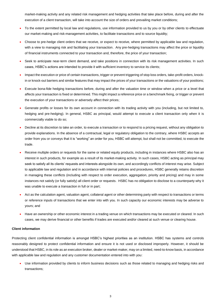market-making activity and any related risk management and hedging activities that take place before, during and after the execution of a client transaction, will take into account the size of orders and prevailing market conditions;

- To the extent permitted by local law and regulations, use information provided to us by you or by other clients to effectuate our market-making and risk-management activities, to facilitate transactions and to source liquidity;
- Choose to pre-hedge client orders that we receive, or expect to receive, where permitted by applicable law and regulation, with a view to managing risk and facilitating your transaction. Any pre-hedging transactions may affect the price or liquidity of financial instruments connected to your transaction and, therefore, the price of your transaction;
- Seek to anticipate near-term client demand, and take positions in connection with its risk management activities. In such cases, HSBC's actions are intended to provide it with sufficient inventory to service its clients;
- Impact the execution or price of certain transactions, trigger or prevent triggering of stop loss orders, take-profit orders, knockin or knock-out barriers and similar features that may impact the prices of your transactions or the valuations of your positions;
- Execute bona-fide hedging transactions before, during and after the valuation time or window when a price or a level that affects your transaction is fixed or determined. This might impact a reference price or a benchmark fixing, or trigger or prevent the execution of your transactions or adversely affect their prices;
- Generate profits or losses for its own account in connection with its trading activity with you (including, but not limited to, hedging and pre-hedging). In general, HSBC as principal, would attempt to execute a client transaction only when it is commercially viable to do so;
- Decline at its discretion to take an order, to execute a transaction or to respond to a pricing request, without any obligation to provide explanations. In the absence of a contractual, legal or regulatory obligation to the contrary, where HSBC accepts an order from you or conveys that it is "working" an order for you, HSBC will attempt, but shall not be committed, to execute the trade.
- Receive multiple orders or requests for the same or related equity products, including in instances where HSBC also has an interest in such products, for example as a result of its market-making activity. In such cases, HSBC acting as principal may seek to satisfy all its clients' requests and interests alongside its own, and accordingly conflicts of interest may arise. Subject to applicable law and regulation and in accordance with internal policies and procedures, HSBC generally retains discretion in managing these conflicts (including with respect to order execution, aggregation, priority and pricing) and may in some instances not satisfy (or fully satisfy) all client order or requests. HSBC has no obligation to disclose to a counterparty why it was unable to execute a transaction in full or in part;
- Act as the calculation agent, valuation agent, collateral agent or other determining party with respect to transactions or terms or reference inputs of transactions that we enter into with you. In such capacity our economic interests may be adverse to yours; and
- Have an ownership or other economic interest in a trading venue on which transactions may be executed or cleared. In such cases, we may derive financial or other benefits if trades are executed and/or cleared at such venue or clearing house.

#### **Client information**

Protecting client confidential information is amongst HSBC's highest priorities as an institution. HSBC has systems and controls reasonably designed to protect confidential information and ensure it is not used or disclosed improperly. However, it should be understood that HSBC, in its role as an execution broker, dealer or market-maker, may on a limited, need-to-know basis, in accordance with applicable law and regulation and any customer documentation entered into with you:

 Use information provided by clients to inform business decisions such as those related to managing and hedging risks and transactions;